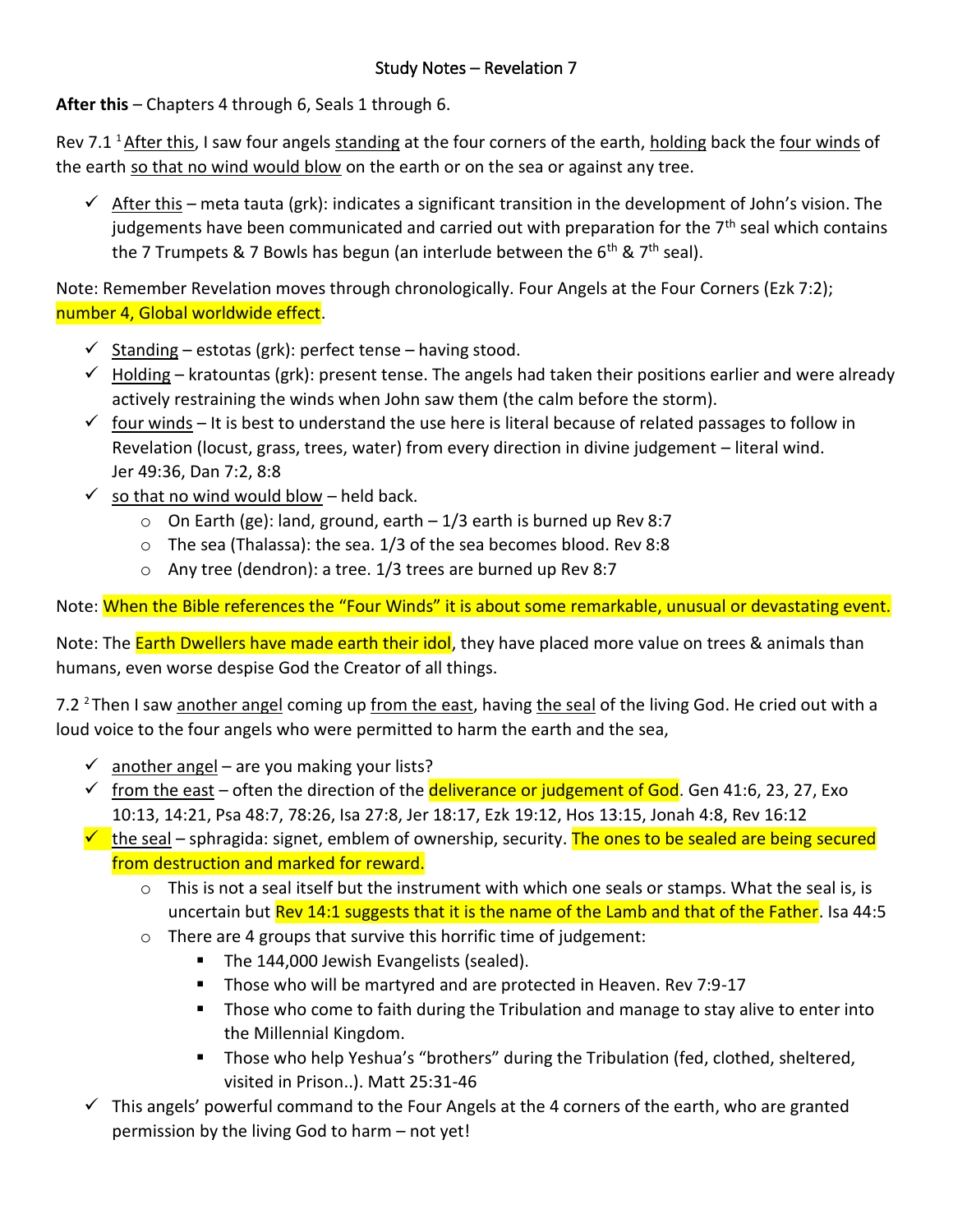**After this** – Chapters 4 through 6, Seals 1 through 6.

Rev 7.1 <sup>1</sup> After this, I saw four angels standing at the four corners of the earth, holding back the <u>four winds</u> of the earth so that no wind would blow on the earth or on the sea or against any tree.

 $\checkmark$  After this – meta tauta (grk): indicates a significant transition in the development of John's vision. The judgements have been communicated and carried out with preparation for the  $7<sup>th</sup>$  seal which contains the 7 Trumpets & 7 Bowls has begun (an interlude between the  $6<sup>th</sup>$  &  $7<sup>th</sup>$  seal).

Note: Remember Revelation moves through chronologically. Four Angels at the Four Corners (Ezk 7:2); number 4, Global worldwide effect.

- $\checkmark$  Standing estotas (grk): perfect tense having stood.
- $\checkmark$  Holding kratountas (grk): present tense. The angels had taken their positions earlier and were already actively restraining the winds when John saw them (the calm before the storm).
- $\checkmark$  four winds It is best to understand the use here is literal because of related passages to follow in Revelation (locust, grass, trees, water) from every direction in divine judgement – literal wind. Jer 49:36, Dan 7:2, 8:8
- $\checkmark$  so that no wind would blow held back.
	- $\circ$  On Earth (ge): land, ground, earth  $-1/3$  earth is burned up Rev 8:7
	- o The sea (Thalassa): the sea. 1/3 of the sea becomes blood. Rev 8:8
	- o Any tree (dendron): a tree. 1/3 trees are burned up Rev 8:7

Note: <mark>When the Bible references the "Four Winds" it is about some remarkable, unusual or devastating event.</mark>

Note: The Earth Dwellers have made earth their idol, they have placed more value on trees & animals than humans, even worse despise God the Creator of all things.

7.2 <sup>2</sup>Then I saw another angel coming up from the east, having the seal of the living God. He cried out with a loud voice to the four angels who were permitted to harm the earth and the sea,

- $\checkmark$  another angel are you making your lists?
- $\checkmark$  from the east often the direction of the **deliverance or judgement of God**. Gen 41:6, 23, 27, Exo 10:13, 14:21, Psa 48:7, 78:26, Isa 27:8, Jer 18:17, Ezk 19:12, Hos 13:15, Jonah 4:8, Rev 16:12
- $\checkmark$  the seal sphragida: signet, emblem of ownership, security. The ones to be sealed are being secured from destruction and marked for reward.
	- $\circ$  This is not a seal itself but the instrument with which one seals or stamps. What the seal is, is uncertain but Rev 14:1 suggests that it is the name of the Lamb and that of the Father. Isa 44:5
	- $\circ$  There are 4 groups that survive this horrific time of judgement:
		- The 144,000 Jewish Evangelists (sealed).
		- Those who will be martyred and are protected in Heaven. Rev 7:9-17
		- Those who come to faith during the Tribulation and manage to stay alive to enter into the Millennial Kingdom.
		- Those who help Yeshua's "brothers" during the Tribulation (fed, clothed, sheltered, visited in Prison..). Matt 25:31-46
- $\checkmark$  This angels' powerful command to the Four Angels at the 4 corners of the earth, who are granted permission by the living God to harm – not yet!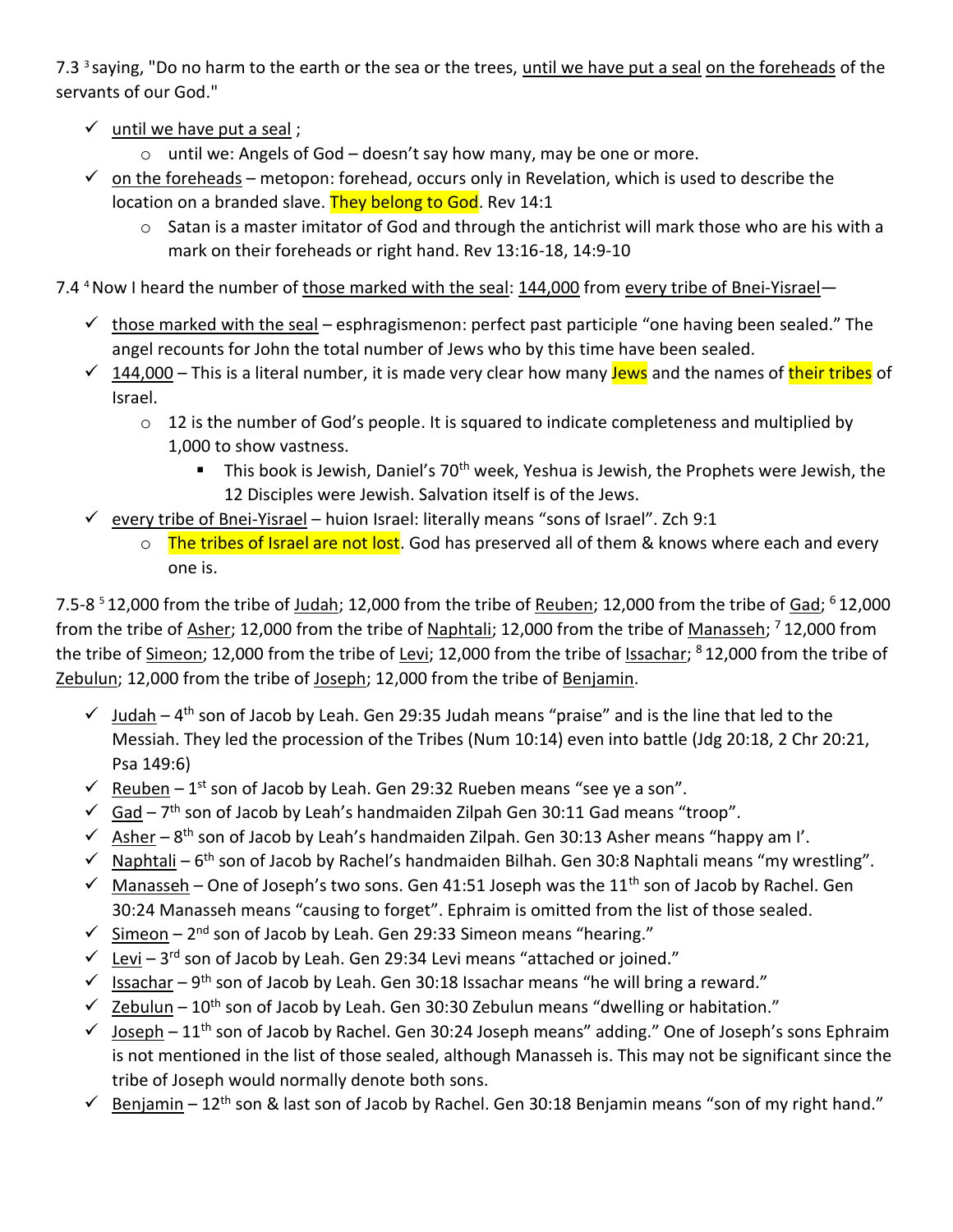7.3<sup>3</sup> saying, "Do no harm to the earth or the sea or the trees, until we have put a seal on the foreheads of the servants of our God."

- $\checkmark$  until we have put a seal;
	- o until we: Angels of God doesn't say how many, may be one or more.
- $\checkmark$  on the foreheads metopon: forehead, occurs only in Revelation, which is used to describe the location on a branded slave. They belong to God. Rev 14:1
	- o Satan is a master imitator of God and through the antichrist will mark those who are his with a mark on their foreheads or right hand. Rev 13:16-18, 14:9-10

7.4 <sup>4</sup> Now I heard the number of those marked with the seal: 144,000 from every tribe of Bnei-Yisrael-

- $\checkmark$  those marked with the seal esphragismenon: perfect past participle "one having been sealed." The angel recounts for John the total number of Jews who by this time have been sealed.
- $\checkmark$  144,000 This is a literal number, it is made very clear how many **Jews** and the names of their tribes of Israel.
	- $\circ$  12 is the number of God's people. It is squared to indicate completeness and multiplied by 1,000 to show vastness.
		- This book is Jewish, Daniel's 70<sup>th</sup> week, Yeshua is Jewish, the Prophets were Jewish, the 12 Disciples were Jewish. Salvation itself is of the Jews.
- $\checkmark$  every tribe of Bnei-Yisrael huion Israel: literally means "sons of Israel". Zch 9:1
	- o The tribes of Israel are not lost. God has preserved all of them & knows where each and every one is.

7.5-8<sup>5</sup>12,000 from the tribe of Judah; 12,000 from the tribe of Reuben; 12,000 from the tribe of Gad; <sup>6</sup>12,000 from the tribe of <u>Asher</u>; 12,000 from the tribe of <u>Naphtali</u>; 12,000 from the tribe of <u>Manasseh</u>; <sup>7</sup> 12,000 from the tribe of <u>Simeon</u>; 12,000 from the tribe of <u>Levi</u>; 12,000 from the tribe of <u>Issachar</u>; <sup>8</sup> 12,000 from the tribe of Zebulun; 12,000 from the tribe of Joseph; 12,000 from the tribe of Benjamin.

- $\checkmark$  Judah 4<sup>th</sup> son of Jacob by Leah. Gen 29:35 Judah means "praise" and is the line that led to the Messiah. They led the procession of the Tribes (Num 10:14) even into battle (Jdg 20:18, 2 Chr 20:21, Psa 149:6)
- $\checkmark$  Reuben 1<sup>st</sup> son of Jacob by Leah. Gen 29:32 Rueben means "see ye a son".
- $\checkmark$  Gad 7<sup>th</sup> son of Jacob by Leah's handmaiden Zilpah Gen 30:11 Gad means "troop".
- $\checkmark$  Asher 8<sup>th</sup> son of Jacob by Leah's handmaiden Zilpah. Gen 30:13 Asher means "happy am I'.
- $\checkmark$  Naphtali 6<sup>th</sup> son of Jacob by Rachel's handmaiden Bilhah. Gen 30:8 Naphtali means "my wrestling".
- $\checkmark$  Manasseh One of Joseph's two sons. Gen 41:51 Joseph was the 11<sup>th</sup> son of Jacob by Rachel. Gen 30:24 Manasseh means "causing to forget". Ephraim is omitted from the list of those sealed.
- √ Simeon 2<sup>nd</sup> son of Jacob by Leah. Gen 29:33 Simeon means "hearing."
- $\checkmark$  Levi 3<sup>rd</sup> son of Jacob by Leah. Gen 29:34 Levi means "attached or joined."
- $\checkmark$  Issachar 9<sup>th</sup> son of Jacob by Leah. Gen 30:18 Issachar means "he will bring a reward."
- $\checkmark$  Zebulun 10<sup>th</sup> son of Jacob by Leah. Gen 30:30 Zebulun means "dwelling or habitation."
- $\checkmark$  Joseph 11<sup>th</sup> son of Jacob by Rachel. Gen 30:24 Joseph means" adding." One of Joseph's sons Ephraim is not mentioned in the list of those sealed, although Manasseh is. This may not be significant since the tribe of Joseph would normally denote both sons.
- ✓ Benjamin 12th son & last son of Jacob by Rachel. Gen 30:18 Benjamin means "son of my right hand."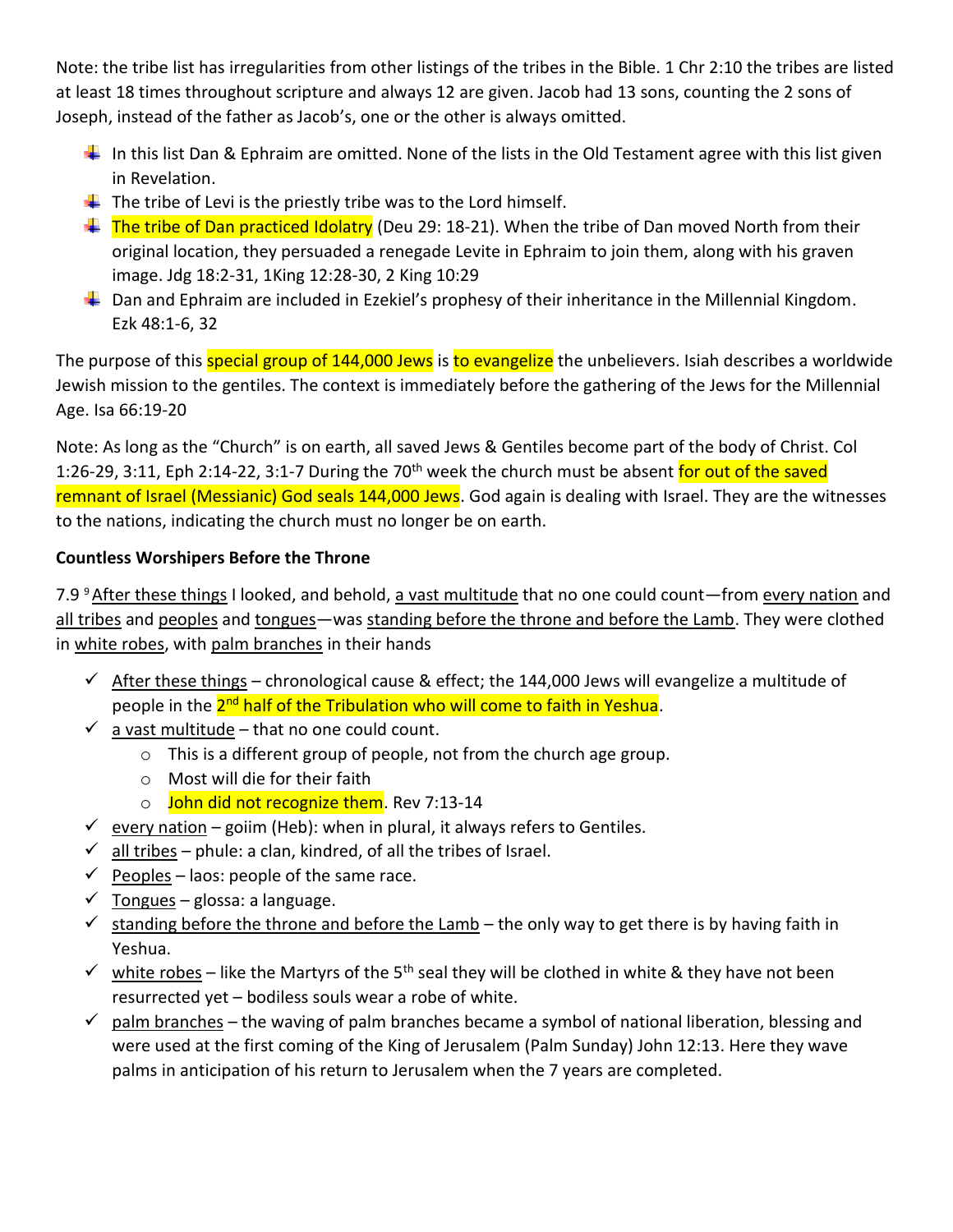Note: the tribe list has irregularities from other listings of the tribes in the Bible. 1 Chr 2:10 the tribes are listed at least 18 times throughout scripture and always 12 are given. Jacob had 13 sons, counting the 2 sons of Joseph, instead of the father as Jacob's, one or the other is always omitted.

- In this list Dan & Ephraim are omitted. None of the lists in the Old Testament agree with this list given in Revelation.
- $\ddot{\phantom{1}}$  The tribe of Levi is the priestly tribe was to the Lord himself.
- The tribe of Dan practiced Idolatry (Deu 29: 18-21). When the tribe of Dan moved North from their original location, they persuaded a renegade Levite in Ephraim to join them, along with his graven image. Jdg 18:2-31, 1King 12:28-30, 2 King 10:29
- $\downarrow$  Dan and Ephraim are included in Ezekiel's prophesy of their inheritance in the Millennial Kingdom. Ezk 48:1-6, 32

The purpose of this special group of 144,000 Jews is to evangelize the unbelievers. Isiah describes a worldwide Jewish mission to the gentiles. The context is immediately before the gathering of the Jews for the Millennial Age. Isa 66:19-20

Note: As long as the "Church" is on earth, all saved Jews & Gentiles become part of the body of Christ. Col 1:26-29, 3:11, Eph 2:14-22, 3:1-7 During the 70<sup>th</sup> week the church must be absent for out of the saved remnant of Israel (Messianic) God seals 144,000 Jews. God again is dealing with Israel. They are the witnesses to the nations, indicating the church must no longer be on earth.

## **Countless Worshipers Before the Throne**

7.9 <sup>9</sup> After these things I looked, and behold, a vast multitude that no one could count—from every nation and all tribes and peoples and tongues—was standing before the throne and before the Lamb. They were clothed in white robes, with palm branches in their hands

- $\checkmark$  After these things chronological cause & effect; the 144,000 Jews will evangelize a multitude of people in the <mark>2<sup>nd</sup> half of the Tribulation who will come to faith in Yeshua</mark>.
- $\checkmark$  a vast multitude that no one could count.
	- o This is a different group of people, not from the church age group.
	- o Most will die for their faith
	- o John did not recognize them. Rev 7:13-14
- $\checkmark$  every nation goiim (Heb): when in plural, it always refers to Gentiles.
- $\checkmark$  all tribes phule: a clan, kindred, of all the tribes of Israel.
- $\checkmark$  Peoples laos: people of the same race.
- $\checkmark$  Tongues glossa: a language.
- $\checkmark$  standing before the throne and before the Lamb the only way to get there is by having faith in Yeshua.
- $\checkmark$  white robes like the Martyrs of the 5<sup>th</sup> seal they will be clothed in white & they have not been resurrected yet – bodiless souls wear a robe of white.
- $\checkmark$  palm branches the waving of palm branches became a symbol of national liberation, blessing and were used at the first coming of the King of Jerusalem (Palm Sunday) John 12:13. Here they wave palms in anticipation of his return to Jerusalem when the 7 years are completed.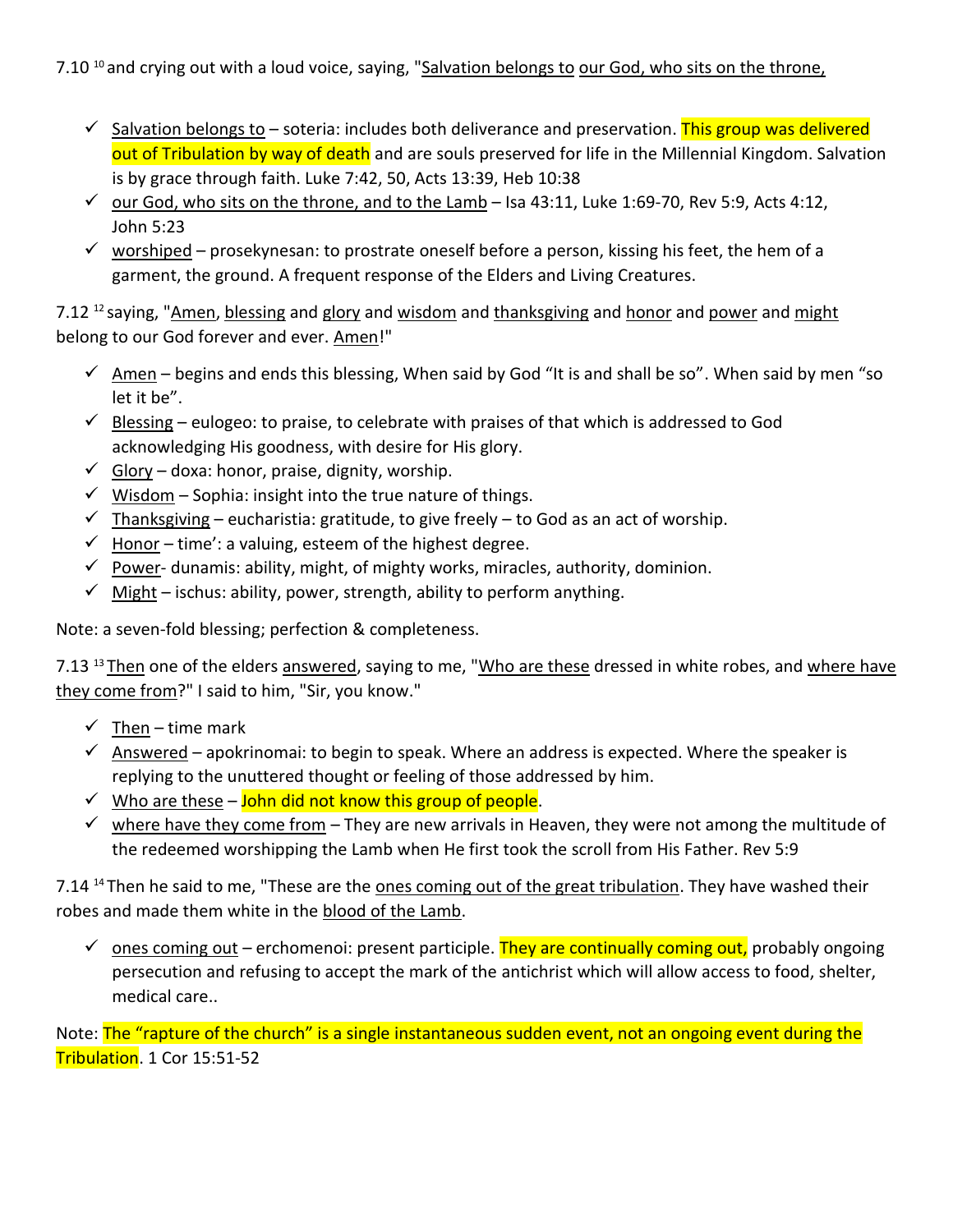## 7.10<sup>10</sup> and crying out with a loud voice, saying, "Salvation belongs to our God, who sits on the throne,

- $\checkmark$  Salvation belongs to soteria: includes both deliverance and preservation. This group was delivered out of Tribulation by way of death and are souls preserved for life in the Millennial Kingdom. Salvation is by grace through faith. Luke 7:42, 50, Acts 13:39, Heb 10:38
- $\checkmark$  our God, who sits on the throne, and to the Lamb Isa 43:11, Luke 1:69-70, Rev 5:9, Acts 4:12, John 5:23
- $\checkmark$  worshiped prosekynesan: to prostrate oneself before a person, kissing his feet, the hem of a garment, the ground. A frequent response of the Elders and Living Creatures.

7.12<sup>12</sup> saying, "Amen, blessing and glory and wisdom and thanksgiving and honor and power and might belong to our God forever and ever. Amen!"

- $\checkmark$  Amen begins and ends this blessing, When said by God "It is and shall be so". When said by men "so let it be".
- $\checkmark$  Blessing eulogeo: to praise, to celebrate with praises of that which is addressed to God acknowledging His goodness, with desire for His glory.
- $\checkmark$  Glory doxa: honor, praise, dignity, worship.
- $\checkmark$  Wisdom Sophia: insight into the true nature of things.
- $\checkmark$  Thanksgiving eucharistia: gratitude, to give freely to God as an act of worship.
- $\checkmark$  Honor time': a valuing, esteem of the highest degree.
- $\checkmark$  Power-dunamis: ability, might, of mighty works, miracles, authority, dominion.
- $\checkmark$  Might ischus: ability, power, strength, ability to perform anything.

Note: a seven-fold blessing; perfection & completeness.

7.13<sup>13</sup> Then one of the elders answered, saying to me, "Who are these dressed in white robes, and where have they come from?" I said to him, "Sir, you know."

- $\checkmark$  Then time mark
- $\checkmark$  Answered apokrinomai: to begin to speak. Where an address is expected. Where the speaker is replying to the unuttered thought or feeling of those addressed by him.
- $\checkmark$  Who are these John did not know this group of people.
- $\checkmark$  where have they come from They are new arrivals in Heaven, they were not among the multitude of the redeemed worshipping the Lamb when He first took the scroll from His Father. Rev 5:9

7.14<sup>14</sup> Then he said to me, "These are the ones coming out of the great tribulation. They have washed their robes and made them white in the blood of the Lamb.

 $\checkmark$  ones coming out – erchomenoi: present participle. They are continually coming out, probably ongoing persecution and refusing to accept the mark of the antichrist which will allow access to food, shelter, medical care..

Note: The "rapture of the church" is a single instantaneous sudden event, not an ongoing event during the Tribulation. 1 Cor 15:51-52